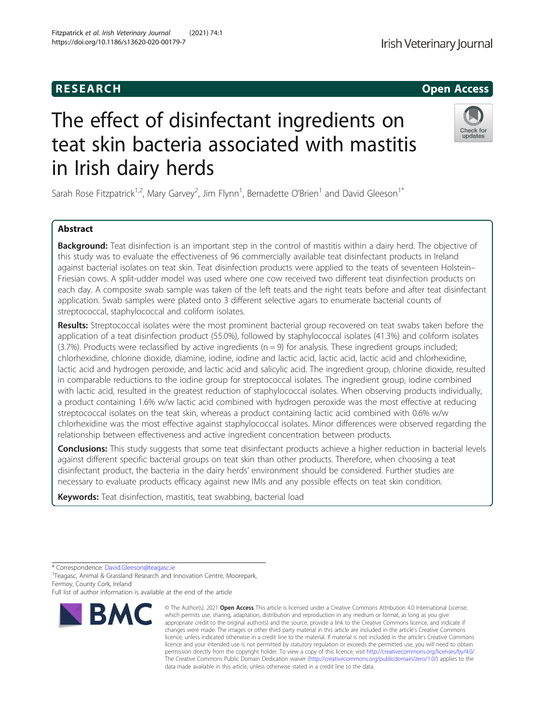# The effect of disinfectant ingredients on teat skin bacteria associated with mastitis in Irish dairy herds

Sarah Rose Fitzpatrick<sup>1,2</sup>, Mary Garvey<sup>2</sup>, Jim Flynn<sup>1</sup>, Bernadette O'Brien<sup>1</sup> and David Gleeson<sup>1\*</sup>

## Abstract

Background: Teat disinfection is an important step in the control of mastitis within a dairy herd. The objective of this study was to evaluate the effectiveness of 96 commercially available teat disinfectant products in Ireland against bacterial isolates on teat skin. Teat disinfection products were applied to the teats of seventeen Holstein– Friesian cows. A split-udder model was used where one cow received two different teat disinfection products on each day. A composite swab sample was taken of the left teats and the right teats before and after teat disinfectant application. Swab samples were plated onto 3 different selective agars to enumerate bacterial counts of streptococcal, staphylococcal and coliform isolates.

Results: Streptococcal isolates were the most prominent bacterial group recovered on teat swabs taken before the application of a teat disinfection product (55.0%), followed by staphylococcal isolates (41.3%) and coliform isolates  $(3.7%)$ . Products were reclassified by active ingredients ( $n = 9$ ) for analysis. These ingredient groups included; chlorhexidine, chlorine dioxide, diamine, iodine, iodine and lactic acid, lactic acid, lactic acid and chlorhexidine, lactic acid and hydrogen peroxide, and lactic acid and salicylic acid. The ingredient group, chlorine dioxide, resulted in comparable reductions to the iodine group for streptococcal isolates. The ingredient group, iodine combined with lactic acid, resulted in the greatest reduction of staphylococcal isolates. When observing products individually, a product containing 1.6% w/w lactic acid combined with hydrogen peroxide was the most effective at reducing streptococcal isolates on the teat skin, whereas a product containing lactic acid combined with 0.6% w/w chlorhexidine was the most effective against staphylococcal isolates. Minor differences were observed regarding the relationship between effectiveness and active ingredient concentration between products.

Conclusions: This study suggests that some teat disinfectant products achieve a higher reduction in bacterial levels against different specific bacterial groups on teat skin than other products. Therefore, when choosing a teat disinfectant product, the bacteria in the dairy herds' environment should be considered. Further studies are necessary to evaluate products efficacy against new IMIs and any possible effects on teat skin condition.

data made available in this article, unless otherwise stated in a credit line to the data.

© The Author(s), 2021 **Open Access** This article is licensed under a Creative Commons Attribution 4.0 International License, which permits use, sharing, adaptation, distribution and reproduction in any medium or format, as long as you give

Keywords: Teat disinfection, mastitis, teat swabbing, bacterial load





undates



<sup>\*</sup> Correspondence: [David.Gleeson@teagasc.ie](mailto:David.Gleeson@teagasc.ie) <sup>1</sup>

<sup>&</sup>lt;sup>1</sup> Teagasc, Animal & Grassland Research and Innovation Centre, Moorepark, Fermoy, County Cork, Ireland

Full list of author information is available at the end of the article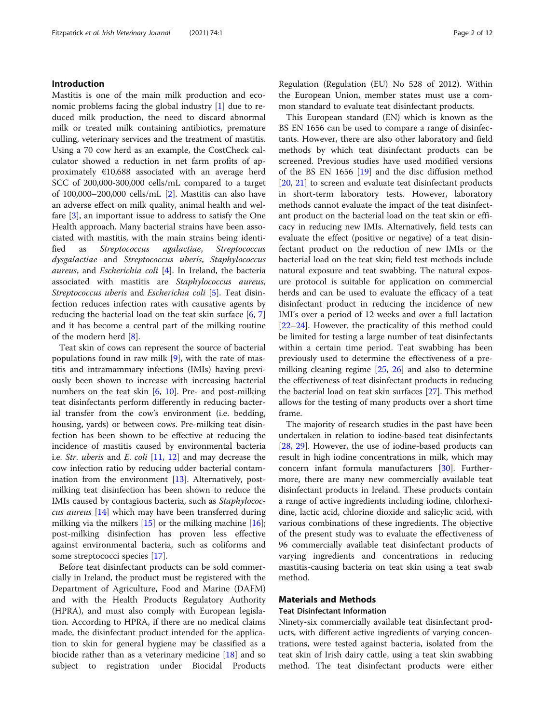## Introduction

Mastitis is one of the main milk production and economic problems facing the global industry [[1\]](#page-10-0) due to reduced milk production, the need to discard abnormal milk or treated milk containing antibiotics, premature culling, veterinary services and the treatment of mastitis. Using a 70 cow herd as an example, the CostCheck calculator showed a reduction in net farm profits of approximately €10,688 associated with an average herd SCC of 200,000-300,000 cells/mL compared to a target of 100,000–200,000 cells/mL [[2\]](#page-10-0). Mastitis can also have an adverse effect on milk quality, animal health and welfare [\[3](#page-10-0)], an important issue to address to satisfy the One Health approach. Many bacterial strains have been associated with mastitis, with the main strains being identified as Streptococcus agalactiae, Streptococcus dysgalactiae and Streptococcus uberis, Staphylococcus aureus, and Escherichia coli [[4\]](#page-10-0). In Ireland, the bacteria associated with mastitis are Staphylococcus aureus, Streptococcus uberis and Escherichia coli [\[5](#page-10-0)]. Teat disinfection reduces infection rates with causative agents by reducing the bacterial load on the teat skin surface [\[6](#page-10-0), [7](#page-10-0)] and it has become a central part of the milking routine of the modern herd [\[8](#page-10-0)].

Teat skin of cows can represent the source of bacterial populations found in raw milk [\[9](#page-10-0)], with the rate of mastitis and intramammary infections (IMIs) having previously been shown to increase with increasing bacterial numbers on the teat skin  $[6, 10]$  $[6, 10]$  $[6, 10]$  $[6, 10]$  $[6, 10]$ . Pre- and post-milking teat disinfectants perform differently in reducing bacterial transfer from the cow's environment (i.e. bedding, housing, yards) or between cows. Pre-milking teat disinfection has been shown to be effective at reducing the incidence of mastitis caused by environmental bacteria i.e. Str. uberis and E. coli [[11,](#page-10-0) [12](#page-10-0)] and may decrease the cow infection ratio by reducing udder bacterial contam-ination from the environment [\[13](#page-10-0)]. Alternatively, postmilking teat disinfection has been shown to reduce the IMIs caused by contagious bacteria, such as Staphylococcus aureus [[14\]](#page-10-0) which may have been transferred during milking via the milkers  $[15]$  or the milking machine  $[16]$  $[16]$ ; post-milking disinfection has proven less effective against environmental bacteria, such as coliforms and some streptococci species [\[17\]](#page-11-0).

Before teat disinfectant products can be sold commercially in Ireland, the product must be registered with the Department of Agriculture, Food and Marine (DAFM) and with the Health Products Regulatory Authority (HPRA), and must also comply with European legislation. According to HPRA, if there are no medical claims made, the disinfectant product intended for the application to skin for general hygiene may be classified as a biocide rather than as a veterinary medicine [[18\]](#page-11-0) and so subject to registration under Biocidal Products Regulation (Regulation (EU) No 528 of 2012). Within the European Union, member states must use a common standard to evaluate teat disinfectant products.

This European standard (EN) which is known as the BS EN 1656 can be used to compare a range of disinfectants. However, there are also other laboratory and field methods by which teat disinfectant products can be screened. Previous studies have used modified versions of the BS EN 1656 [\[19](#page-11-0)] and the disc diffusion method [[20,](#page-11-0) [21\]](#page-11-0) to screen and evaluate teat disinfectant products in short-term laboratory tests. However, laboratory methods cannot evaluate the impact of the teat disinfectant product on the bacterial load on the teat skin or efficacy in reducing new IMIs. Alternatively, field tests can evaluate the effect (positive or negative) of a teat disinfectant product on the reduction of new IMIs or the bacterial load on the teat skin; field test methods include natural exposure and teat swabbing. The natural exposure protocol is suitable for application on commercial herds and can be used to evaluate the efficacy of a teat disinfectant product in reducing the incidence of new IMI's over a period of 12 weeks and over a full lactation [[22](#page-11-0)–[24](#page-11-0)]. However, the practicality of this method could be limited for testing a large number of teat disinfectants within a certain time period. Teat swabbing has been previously used to determine the effectiveness of a premilking cleaning regime [[25,](#page-11-0) [26\]](#page-11-0) and also to determine the effectiveness of teat disinfectant products in reducing the bacterial load on teat skin surfaces [\[27\]](#page-11-0). This method allows for the testing of many products over a short time frame.

The majority of research studies in the past have been undertaken in relation to iodine-based teat disinfectants [[28,](#page-11-0) [29](#page-11-0)]. However, the use of iodine-based products can result in high iodine concentrations in milk, which may concern infant formula manufacturers [\[30](#page-11-0)]. Furthermore, there are many new commercially available teat disinfectant products in Ireland. These products contain a range of active ingredients including iodine, chlorhexidine, lactic acid, chlorine dioxide and salicylic acid, with various combinations of these ingredients. The objective of the present study was to evaluate the effectiveness of 96 commercially available teat disinfectant products of varying ingredients and concentrations in reducing mastitis-causing bacteria on teat skin using a teat swab method.

## Materials and Methods

#### Teat Disinfectant Information

Ninety-six commercially available teat disinfectant products, with different active ingredients of varying concentrations, were tested against bacteria, isolated from the teat skin of Irish dairy cattle, using a teat skin swabbing method. The teat disinfectant products were either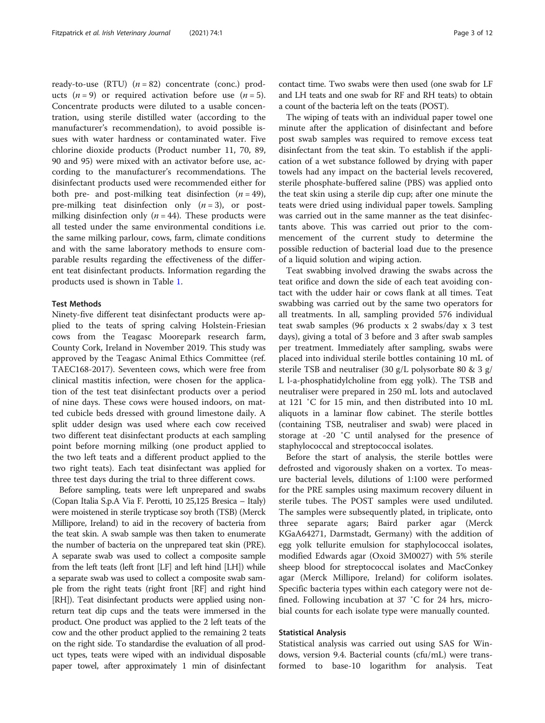ready-to-use (RTU)  $(n = 82)$  concentrate (conc.) products  $(n = 9)$  or required activation before use  $(n = 5)$ . Concentrate products were diluted to a usable concentration, using sterile distilled water (according to the manufacturer's recommendation), to avoid possible issues with water hardness or contaminated water. Five chlorine dioxide products (Product number 11, 70, 89, 90 and 95) were mixed with an activator before use, according to the manufacturer's recommendations. The disinfectant products used were recommended either for both pre- and post-milking teat disinfection  $(n = 49)$ , pre-milking teat disinfection only  $(n = 3)$ , or postmilking disinfection only ( $n = 44$ ). These products were all tested under the same environmental conditions i.e. the same milking parlour, cows, farm, climate conditions and with the same laboratory methods to ensure comparable results regarding the effectiveness of the different teat disinfectant products. Information regarding the products used is shown in Table [1.](#page-4-0)

### Test Methods

Ninety-five different teat disinfectant products were applied to the teats of spring calving Holstein-Friesian cows from the Teagasc Moorepark research farm, County Cork, Ireland in November 2019. This study was approved by the Teagasc Animal Ethics Committee (ref. TAEC168-2017). Seventeen cows, which were free from clinical mastitis infection, were chosen for the application of the test teat disinfectant products over a period of nine days. These cows were housed indoors, on matted cubicle beds dressed with ground limestone daily. A split udder design was used where each cow received two different teat disinfectant products at each sampling point before morning milking (one product applied to the two left teats and a different product applied to the two right teats). Each teat disinfectant was applied for three test days during the trial to three different cows.

Before sampling, teats were left unprepared and swabs (Copan Italia S.p.A Via F. Perotti, 10 25,125 Bresica – Italy) were moistened in sterile trypticase soy broth (TSB) (Merck Millipore, Ireland) to aid in the recovery of bacteria from the teat skin. A swab sample was then taken to enumerate the number of bacteria on the unprepared teat skin (PRE). A separate swab was used to collect a composite sample from the left teats (left front [LF] and left hind [LH]) while a separate swab was used to collect a composite swab sample from the right teats (right front [RF] and right hind [RH]). Teat disinfectant products were applied using nonreturn teat dip cups and the teats were immersed in the product. One product was applied to the 2 left teats of the cow and the other product applied to the remaining 2 teats on the right side. To standardise the evaluation of all product types, teats were wiped with an individual disposable paper towel, after approximately 1 min of disinfectant

contact time. Two swabs were then used (one swab for LF and LH teats and one swab for RF and RH teats) to obtain a count of the bacteria left on the teats (POST).

The wiping of teats with an individual paper towel one minute after the application of disinfectant and before post swab samples was required to remove excess teat disinfectant from the teat skin. To establish if the application of a wet substance followed by drying with paper towels had any impact on the bacterial levels recovered, sterile phosphate-buffered saline (PBS) was applied onto the teat skin using a sterile dip cup; after one minute the teats were dried using individual paper towels. Sampling was carried out in the same manner as the teat disinfectants above. This was carried out prior to the commencement of the current study to determine the possible reduction of bacterial load due to the presence of a liquid solution and wiping action.

Teat swabbing involved drawing the swabs across the teat orifice and down the side of each teat avoiding contact with the udder hair or cows flank at all times. Teat swabbing was carried out by the same two operators for all treatments. In all, sampling provided 576 individual teat swab samples (96 products x 2 swabs/day x 3 test days), giving a total of 3 before and 3 after swab samples per treatment. Immediately after sampling, swabs were placed into individual sterile bottles containing 10 mL of sterile TSB and neutraliser (30 g/L polysorbate 80 & 3 g/ L l-a-phosphatidylcholine from egg yolk). The TSB and neutraliser were prepared in 250 mL lots and autoclaved at 121 ˚C for 15 min, and then distributed into 10 mL aliquots in a laminar flow cabinet. The sterile bottles (containing TSB, neutraliser and swab) were placed in storage at -20 ˚C until analysed for the presence of staphylococcal and streptococcal isolates.

Before the start of analysis, the sterile bottles were defrosted and vigorously shaken on a vortex. To measure bacterial levels, dilutions of 1:100 were performed for the PRE samples using maximum recovery diluent in sterile tubes. The POST samples were used undiluted. The samples were subsequently plated, in triplicate, onto three separate agars; Baird parker agar (Merck KGaA64271, Darmstadt, Germany) with the addition of egg yolk tellurite emulsion for staphylococcal isolates, modified Edwards agar (Oxoid 3M0027) with 5% sterile sheep blood for streptococcal isolates and MacConkey agar (Merck Millipore, Ireland) for coliform isolates. Specific bacteria types within each category were not defined. Following incubation at 37 ˚C for 24 hrs, microbial counts for each isolate type were manually counted.

## Statistical Analysis

Statistical analysis was carried out using SAS for Windows, version 9.4. Bacterial counts (cfu/mL) were transformed to base-10 logarithm for analysis. Teat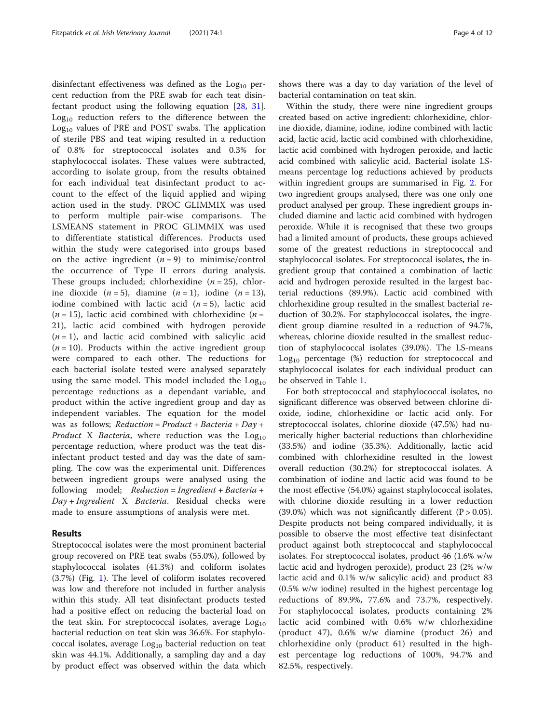disinfectant effectiveness was defined as the  $Log<sub>10</sub>$  percent reduction from the PRE swab for each teat disinfectant product using the following equation [\[28](#page-11-0), [31](#page-11-0)].  $Log<sub>10</sub>$  reduction refers to the difference between the  $Log<sub>10</sub>$  values of PRE and POST swabs. The application of sterile PBS and teat wiping resulted in a reduction of 0.8% for streptococcal isolates and 0.3% for staphylococcal isolates. These values were subtracted, according to isolate group, from the results obtained for each individual teat disinfectant product to account to the effect of the liquid applied and wiping action used in the study. PROC GLIMMIX was used to perform multiple pair-wise comparisons. The LSMEANS statement in PROC GLIMMIX was used to differentiate statistical differences. Products used within the study were categorised into groups based on the active ingredient  $(n = 9)$  to minimise/control the occurrence of Type II errors during analysis. These groups included; chlorhexidine  $(n = 25)$ , chlorine dioxide  $(n = 5)$ , diamine  $(n = 1)$ , iodine  $(n = 13)$ , iodine combined with lactic acid  $(n = 5)$ , lactic acid  $(n = 15)$ , lactic acid combined with chlorhexidine  $(n = 15)$ 21), lactic acid combined with hydrogen peroxide  $(n = 1)$ , and lactic acid combined with salicylic acid  $(n = 10)$ . Products within the active ingredient group were compared to each other. The reductions for each bacterial isolate tested were analysed separately using the same model. This model included the  $Log<sub>10</sub>$ percentage reductions as a dependant variable, and product within the active ingredient group and day as independent variables. The equation for the model was as follows;  $Reduction = Product + Bacteria + Day +$ *Product* X *Bacteria*, where reduction was the  $Log<sub>10</sub>$ percentage reduction, where product was the teat disinfectant product tested and day was the date of sampling. The cow was the experimental unit. Differences between ingredient groups were analysed using the following model;  $Reduction = Ingradient + Bacteria +$ Day + Ingredient X Bacteria. Residual checks were made to ensure assumptions of analysis were met.

## Results

Streptococcal isolates were the most prominent bacterial group recovered on PRE teat swabs (55.0%), followed by staphylococcal isolates (41.3%) and coliform isolates (3.7%) (Fig. [1\)](#page-7-0). The level of coliform isolates recovered was low and therefore not included in further analysis within this study. All teat disinfectant products tested had a positive effect on reducing the bacterial load on the teat skin. For streptococcal isolates, average  $Log<sub>10</sub>$ bacterial reduction on teat skin was 36.6%. For staphylococcal isolates, average  $Log<sub>10</sub>$  bacterial reduction on teat skin was 44.1%. Additionally, a sampling day and a day by product effect was observed within the data which shows there was a day to day variation of the level of bacterial contamination on teat skin.

Within the study, there were nine ingredient groups created based on active ingredient: chlorhexidine, chlorine dioxide, diamine, iodine, iodine combined with lactic acid, lactic acid, lactic acid combined with chlorhexidine, lactic acid combined with hydrogen peroxide, and lactic acid combined with salicylic acid. Bacterial isolate LSmeans percentage log reductions achieved by products within ingredient groups are summarised in Fig. [2](#page-8-0). For two ingredient groups analysed, there was one only one product analysed per group. These ingredient groups included diamine and lactic acid combined with hydrogen peroxide. While it is recognised that these two groups had a limited amount of products, these groups achieved some of the greatest reductions in streptococcal and staphylococcal isolates. For streptococcal isolates, the ingredient group that contained a combination of lactic acid and hydrogen peroxide resulted in the largest bacterial reductions (89.9%). Lactic acid combined with chlorhexidine group resulted in the smallest bacterial reduction of 30.2%. For staphylococcal isolates, the ingredient group diamine resulted in a reduction of 94.7%, whereas, chlorine dioxide resulted in the smallest reduction of staphylococcal isolates (39.0%). The LS-means  $Log<sub>10</sub>$  percentage (%) reduction for streptococcal and staphylococcal isolates for each individual product can be observed in Table [1](#page-4-0).

For both streptococcal and staphylococcal isolates, no significant difference was observed between chlorine dioxide, iodine, chlorhexidine or lactic acid only. For streptococcal isolates, chlorine dioxide (47.5%) had numerically higher bacterial reductions than chlorhexidine (33.5%) and iodine (35.3%). Additionally, lactic acid combined with chlorhexidine resulted in the lowest overall reduction (30.2%) for streptococcal isolates. A combination of iodine and lactic acid was found to be the most effective (54.0%) against staphylococcal isolates, with chlorine dioxide resulting in a lower reduction (39.0%) which was not significantly different  $(P > 0.05)$ . Despite products not being compared individually, it is possible to observe the most effective teat disinfectant product against both streptococcal and staphylococcal isolates. For streptococcal isolates, product 46 (1.6% w/w lactic acid and hydrogen peroxide), product 23 (2% w/w lactic acid and 0.1% w/w salicylic acid) and product 83 (0.5% w/w iodine) resulted in the highest percentage log reductions of 89.9%, 77.6% and 73.7%, respectively. For staphylococcal isolates, products containing 2% lactic acid combined with 0.6% w/w chlorhexidine (product 47), 0.6% w/w diamine (product 26) and chlorhexidine only (product 61) resulted in the highest percentage log reductions of 100%, 94.7% and 82.5%, respectively.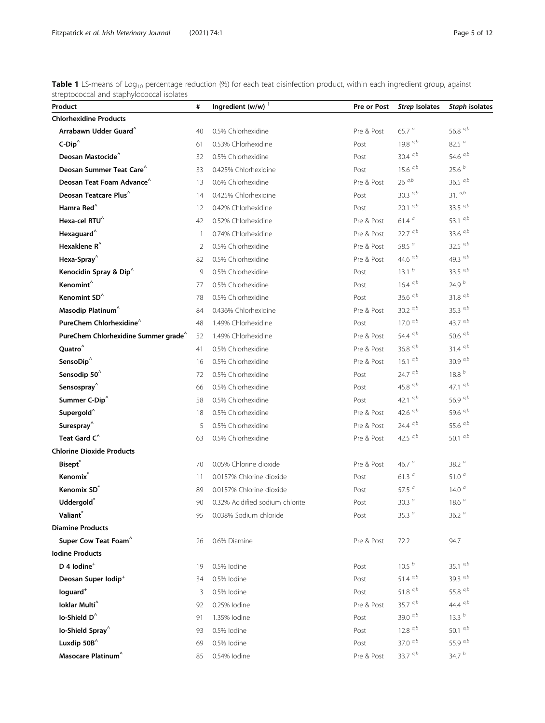<span id="page-4-0"></span>Table 1 LS-means of Log<sub>10</sub> percentage reduction (%) for each teat disinfection product, within each ingredient group, against streptococcal and staphylococcal isolates

| Product                                          | #              | Ingredient $(w/w)^1$            | Pre or Post | <b>Strep Isolates</b> | Staph isolates    |
|--------------------------------------------------|----------------|---------------------------------|-------------|-----------------------|-------------------|
| <b>Chlorhexidine Products</b>                    |                |                                 |             |                       |                   |
| Arrabawn Udder Guard <sup>^</sup>                | 40             | 0.5% Chlorhexidine              | Pre & Post  | 65.7 $a$              | 56.8 $a,b$        |
| $C-Dip^{\wedge}$                                 | 61             | 0.53% Chlorhexidine             | Post        | 19.8 $a,b$            | 82.5 $a$          |
| Deosan Mastocide <sup>^</sup>                    | 32             | 0.5% Chlorhexidine              | Post        | 30.4 $a,b$            | 54.6 $a,b$        |
| Deosan Summer Teat Care <sup>^</sup>             | 33             | 0.425% Chlorhexidine            | Post        | $15.6^{a,b}$          | 25.6 <sup>b</sup> |
| Deosan Teat Foam Advance                         | 13             | 0.6% Chlorhexidine              | Pre & Post  | $26\ ^{a,b}$          | 36.5 $a,b$        |
| Deosan Teatcare Plus <sup>^</sup>                | 14             | 0.425% Chlorhexidine            | Post        | 30.3 $a,b$            | $31.$ $a,b$       |
| Hamra Red <sup>^</sup>                           | 12             | 0.42% Chlorhexidine             | Post        | $20.1^{a,b}$          | 33.5 $a,b$        |
| Hexa-cel RTU <sup>^</sup>                        | 42             | 0.52% Chlorhexidine             | Pre & Post  | 61.4 <sup>a</sup>     | 53.1 $a,b$        |
| Hexaguard <sup>^</sup>                           | $\overline{1}$ | 0.74% Chlorhexidine             | Pre & Post  | $22.7^{ a,b}$         | 33.6 $a,b$        |
| Hexaklene $R^{\wedge}$                           | 2              | 0.5% Chlorhexidine              | Pre & Post  | 58.5 $a$              | 32.5 $a,b$        |
| Hexa-Spray <sup>^</sup>                          | 82             | 0.5% Chlorhexidine              | Pre & Post  | 44.6 $a,b$            | 49.3 $a,b$        |
| Kenocidin Spray & Dip <sup>^</sup>               | 9              | 0.5% Chlorhexidine              | Post        | 13.1 <sup>b</sup>     | 33.5 $a,b$        |
| Kenomint $\hat{}$                                | 77             | 0.5% Chlorhexidine              | Post        | $16.4^{a,b}$          | 24.9 $^{b}$       |
| Kenomint SD <sup>^</sup>                         | 78             | 0.5% Chlorhexidine              | Post        | 36.6 $a,b$            | $31.8 \ ^{a,b}$   |
| Masodip Platinum <sup>^</sup>                    | 84             | 0.436% Chlorhexidine            | Pre & Post  | 30.2 $a,b$            | 35.3 $a,b$        |
| PureChem Chlorhexidine^                          | 48             | 1.49% Chlorhexidine             | Post        | $17.0\ ^{a,b}$        | 43.7 $a,b$        |
| PureChem Chlorhexidine Summer grade <sup>^</sup> | 52             | 1.49% Chlorhexidine             | Pre & Post  | 54.4 $a,b$            | 50.6 $a,b$        |
| Ouatro <sup>^</sup>                              | 41             | 0.5% Chlorhexidine              | Pre & Post  | 36.8 $a,b$            | $31.4\ ^{a,b}$    |
| SensoDip $^{\wedge}$                             | 16             | 0.5% Chlorhexidine              | Pre & Post  | 16.1 $a,b$            | 30.9 $a,b$        |
| Sensodip 50 <sup>^</sup>                         | 72             | 0.5% Chlorhexidine              | Post        | $24.7^{a,b}$          | $18.8\ ^b$        |
| Sensospray <sup>^</sup>                          | 66             | 0.5% Chlorhexidine              | Post        | 45.8 $a,b$            | 47.1 $a,b$        |
| Summer C-Dip <sup>^</sup>                        | 58             | 0.5% Chlorhexidine              | Post        | 42.1 $a,b$            | 56.9 $a,b$        |
| Supergold <sup>^</sup>                           | 18             | 0.5% Chlorhexidine              | Pre & Post  | 42.6 $a,b$            | 59.6 $a,b$        |
| Surespray <sup>^</sup>                           | 5              | 0.5% Chlorhexidine              | Pre & Post  | 24.4 $a,b$            | 55.6 $a,b$        |
| Teat Gard C <sup>^</sup>                         | 63             | 0.5% Chlorhexidine              | Pre & Post  | 42.5 $a,b$            | 50.1 $a,b$        |
| <b>Chlorine Dioxide Products</b>                 |                |                                 |             |                       |                   |
| <b>Bisept</b> ®                                  | 70             | 0.05% Chlorine dioxide          | Pre & Post  | 46.7 $a$              | 38.2 $a$          |
| Kenomix <sup>*</sup>                             | 11             | 0.0157% Chlorine dioxide        | Post        | 61.3 $a$              | 51.0 $a$          |
| Kenomix SD <sup>®</sup>                          | 89             | 0.0157% Chlorine dioxide        | Post        | 57.5 $a$              | 14.0 $a$          |
| Uddergold <sup>*</sup>                           | 90             | 0.32% Acidified sodium chlorite | Post        | 30.3 $a$              | 18.6 <sup>a</sup> |
| Valiant*                                         | 95             | 0.038% Sodium chloride          | Post        | 35.3 $a$              | 36.2 $a$          |
| <b>Diamine Products</b>                          |                |                                 |             |                       |                   |
| Super Cow Teat Foam <sup>^</sup>                 | 26             | 0.6% Diamine                    | Pre & Post  | 72.2                  | 94.7              |
| <b>Iodine Products</b>                           |                |                                 |             |                       |                   |
| D 4 lodine <sup>+</sup>                          | 19             | 0.5% lodine                     | Post        | 10.5 <sup>b</sup>     | 35.1 $a,b$        |
| Deosan Super Iodip <sup>+</sup>                  | 34             | 0.5% lodine                     | Post        | 51.4 $a,b$            | 39.3 $a,b$        |
| loguard <sup>+</sup>                             | 3              | 0.5% lodine                     | Post        | 51.8 $a,b$            | 55.8 $a,b$        |
| Ioklar Multi <sup>^</sup>                        | 92             | 0.25% lodine                    | Pre & Post  | $35.7\ ^{a,b}$        | 44.4 $a,b$        |
| lo-Shield D <sup>^</sup>                         | 91             | 1.35% lodine                    | Post        | 39.0 $a,b$            | 13.3 <sup>b</sup> |
| lo-Shield Spray <sup>^</sup>                     | 93             | 0.5% lodine                     | Post        | $12.8^{a,b}$          | 50.1 $a,b$        |
| Luxdip 50B <sup>^</sup>                          | 69             | 0.5% lodine                     | Post        | 37.0 $a,b$            | 55.9 $a,b$        |
| Masocare Platinum <sup>^</sup>                   | 85             | 0.54% lodine                    | Pre & Post  | 33.7 $a,b$            | 34.7 $b$          |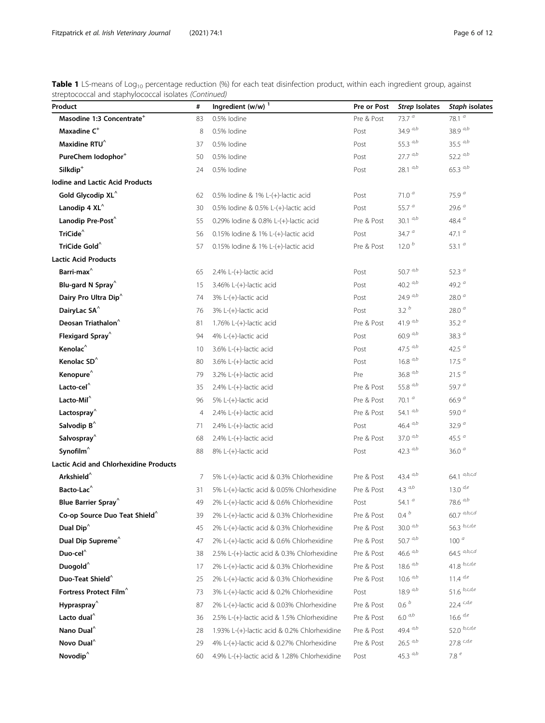Table 1 LS-means of Log<sub>10</sub> percentage reduction (%) for each teat disinfection product, within each ingredient group, against streptococcal and staphylococcal isolates (Continued)

| Product                                       | #  | Ingredient $(w/w)^1$                         | Pre or Post | <b>Strep Isolates</b> | Staph isolates                 |
|-----------------------------------------------|----|----------------------------------------------|-------------|-----------------------|--------------------------------|
| Masodine 1:3 Concentrate <sup>+</sup>         | 83 | 0.5% lodine                                  | Pre & Post  | 73.7 $a$              | 78.1 $\overline{a}$            |
| Maxadine C <sup>+</sup>                       | 8  | 0.5% lodine                                  | Post        | 34.9 $a,b$            | 38.9 $a,b$                     |
| Maxidine RTU <sup>^</sup>                     | 37 | 0.5% lodine                                  | Post        | 55.3 $a,b$            | 35.5 $a,b$                     |
| PureChem lodophor <sup>+</sup>                | 50 | 0.5% lodine                                  | Post        | $27.7^{ a,b}$         | 52.2 $a,b$                     |
| Silkdip <sup>+</sup>                          | 24 | 0.5% lodine                                  | Post        | $28.1^{a,b}$          | 65.3 $a,b$                     |
| <b>Iodine and Lactic Acid Products</b>        |    |                                              |             |                       |                                |
| Gold Glycodip XL <sup>^</sup>                 | 62 | 0.5% lodine & 1% L-(+)-lactic acid           | Post        | 71.0 $a$              | 75.9 $a$                       |
| Lanodip 4 $XL^{\wedge}$                       | 30 | 0.5% lodine & 0.5% L- $(+)$ -lactic acid     | Post        | 55.7 $a$              | 29.6 <sup>a</sup>              |
| Lanodip Pre-Post <sup>^</sup>                 | 55 | 0.29% lodine & 0.8% L-(+)-lactic acid        | Pre & Post  | 30.1 $a,b$            | 48.4 $a$                       |
| TriCide <sup>^</sup>                          | 56 | 0.15% lodine & 1% L-(+)-lactic acid          | Post        | 34.7 $a$              | 47.1 $a$                       |
| TriCide Gold $^{\wedge}$                      | 57 | $0.15\%$ lodine & 1% L- $(+)$ -lactic acid   | Pre & Post  | 12.0 <sup>b</sup>     | 53.1 $a$                       |
| <b>Lactic Acid Products</b>                   |    |                                              |             |                       |                                |
| Barri-max $^\wedge$                           | 65 | $2.4\%$ L-(+)-lactic acid                    | Post        | 50.7 $a,b$            | 52.3 $a$                       |
| Blu-gard N Spray <sup>^</sup>                 | 15 | $3.46\%$ L-(+)-lactic acid                   | Post        | 40.2 $a,b$            | 49.2 $a$                       |
| Dairy Pro Ultra Dip <sup>^</sup>              | 74 | 3% L-(+)-lactic acid                         | Post        | 24.9 $a,b$            | 28.0 $a$                       |
| DairyLac SA <sup>^</sup>                      | 76 | 3% L-(+)-lactic acid                         | Post        | 3.2 <sup>b</sup>      | 28.0 $a$                       |
| Deosan Triathalon <sup>^</sup>                | 81 | 1.76% L- $(+)$ -lactic acid                  | Pre & Post  | 41.9 $a,b$            | 35.2 $a$                       |
| Flexigard Spray <sup>^</sup>                  | 94 | 4% L-(+)-lactic acid                         | Post        | $60.9\ ^{a,b}$        | 38.3 $a$                       |
| Kenolac <sup>^</sup>                          | 10 | $3.6\%$ L-(+)-lactic acid                    | Post        | 47.5 $a,b$            | 42.5 $a$                       |
| Kenolac SD <sup>^</sup>                       | 80 | $3.6\%$ L-(+)-lactic acid                    | Post        | $16.8\ ^{a,b}$        | 17.5 <sup>a</sup>              |
| Kenopure <sup>^</sup>                         | 79 | $3.2\%$ L-(+)-lactic acid                    | Pre         | $36.8\ ^{a,b}$        | 21.5 <sup>a</sup>              |
| Lacto-cel <sup>^</sup>                        | 35 | $2.4\%$ L-(+)-lactic acid                    | Pre & Post  | 55.8 $a,b$            | 59.7 $a$                       |
| Lacto-Mil <sup>^</sup>                        | 96 | 5% L- $(+)$ -lactic acid                     | Pre & Post  | 70.1 $a$              | 66.9 $a$                       |
| Lactospray <sup>^</sup>                       | 4  | $2.4\%$ L-(+)-lactic acid                    | Pre & Post  | 54.1 $a,b$            | 59.0 $a$                       |
| Salvodip B <sup>^</sup>                       | 71 | $2.4\%$ L-(+)-lactic acid                    | Post        | 46.4 $a,b$            | 32.9 $a$                       |
| Salvospray <sup>^</sup>                       | 68 | 2.4% L- $(+)$ -lactic acid                   | Pre & Post  | 37.0 $a,b$            | 45.5 $a$                       |
| Synofilm <sup>^</sup>                         | 88 | 8% L-(+)-lactic acid                         | Post        | 42.3 $a,b$            | 36.0 $a$                       |
| <b>Lactic Acid and Chlorhexidine Products</b> |    |                                              |             |                       |                                |
| Arkshield <sup>^</sup>                        | 7  | 5% L-(+)-lactic acid & 0.3% Chlorhexidine    | Pre & Post  | 43.4 $a,b$            | 64.1 $a,b,c,d$                 |
| Bacto-Lac <sup>^</sup>                        | 31 | 5% L-(+)-lactic acid & 0.05% Chlorhexidine   | Pre & Post  | $4.3\ ^{a,b}$         | $13.0\ ^{d,e}$                 |
| Blue Barrier Spray <sup>^</sup>               | 49 | 2% L-(+)-lactic acid & 0.6% Chlorhexidine    | Post        | 54.1 $a$              | 78.6 $a,b$                     |
| Co-op Source Duo Teat Shield <sup>^</sup>     | 39 | 2% L-(+)-lactic acid & 0.3% Chlorhexidine    | Pre & Post  | 0.4 $^b$              | $60.7^{a,b,c,d}$               |
| Dual Dip <sup>^</sup>                         | 45 | 2% L-(+)-lactic acid & 0.3% Chlorhexidine    | Pre & Post  | 30.0 $a,b$            | 56.3 $b, c, d, e$              |
| Dual Dip Supreme <sup>^</sup>                 | 47 | 2% L-(+)-lactic acid & 0.6% Chlorhexidine    | Pre & Post  | 50.7 $a,b$            | 100 <sup>a</sup>               |
| Duo-cel $\hat{}$                              | 38 | 2.5% L-(+)-lactic acid & 0.3% Chlorhexidine  | Pre & Post  | 46.6 $a,b$            | 64.5 $a,b,c,d$                 |
| Duogold <sup>^</sup>                          | 17 | 2% L-(+)-lactic acid & 0.3% Chlorhexidine    | Pre & Post  | $18.6^{a,b}$          | $41.8\ ^{b,c,d,e}$             |
| Duo-Teat Shield <sup>^</sup>                  | 25 | 2% L-(+)-lactic acid & 0.3% Chlorhexidine    | Pre & Post  | $10.6$ $a,b$          | $11.4$ $d,e$                   |
| Fortress Protect Film <sup>^</sup>            | 73 | 3% L-(+)-lactic acid & 0.2% Chlorhexidine    | Post        | 18.9 $a,b$            | 51.6 $b,c,d,e$                 |
| Hypraspray $\hat{}$                           | 87 | 2% L-(+)-lactic acid & 0.03% Chlorhexidine   | Pre & Post  | 0.6 <sup>b</sup>      | $22.4$ $^{\mathrm{c},d,e}$     |
| Lacto dual <sup>^</sup>                       | 36 | 2.5% L-(+)-lactic acid & 1.5% Chlorhexidine  | Pre & Post  | $6.0^{a,b}$           | 16.6 d,e                       |
| Nano Dual <sup>^</sup>                        | 28 | 1.93% L-(+)-lactic acid & 0.2% Chlorhexidine | Pre & Post  | 49.4 $a,b$            | 52.0 $b, c, d, e$              |
| Novo Dual <sup>^</sup>                        | 29 | 4% L-(+)-lactic acid & 0.27% Chlorhexidine   | Pre & Post  | $26.5~^{a,b}$         | $27.8$ $^{\text{\tiny C},d,e}$ |
| Novodip <sup>^</sup>                          | 60 | 4.9% L-(+)-lactic acid & 1.28% Chlorhexidine | Post        | 45.3 $a,b$            | 7.8 $e$                        |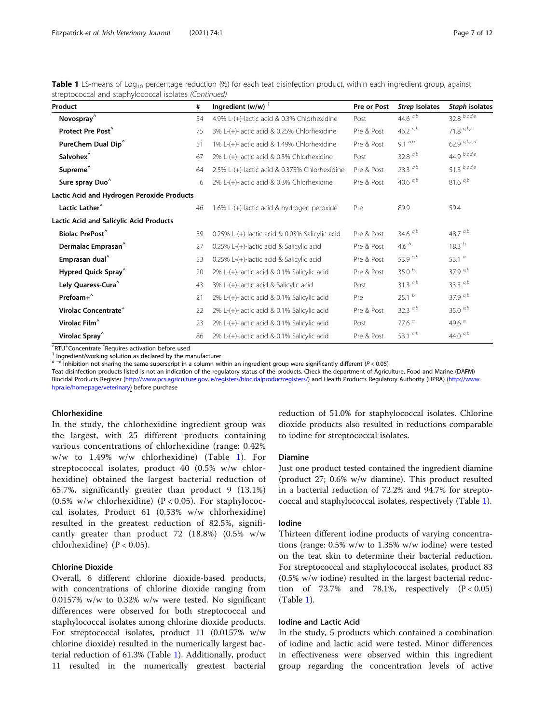| Product                                    | #  | Ingredient $(w/w)^1$                           | Pre or Post | Strep Isolates    | Staph isolates            |
|--------------------------------------------|----|------------------------------------------------|-------------|-------------------|---------------------------|
| Novospray $\hat{}$                         | 54 | 4.9% L-(+)-lactic acid & 0.3% Chlorhexidine    | Post        | 44.6 $a,b$        | $32.8 \overline{b,c,d,e}$ |
| Protect Pre Post <sup>^</sup>              | 75 | 3% L-(+)-lactic acid & 0.25% Chlorhexidine     | Pre & Post  | 46.2 $a,b$        | 71.8 $a,b,c$              |
| PureChem Dual Dip <sup>^</sup>             | 51 | 1% L-(+)-lactic acid & 1.49% Chlorhexidine     | Pre & Post  | 9.1 $a,b$         | 62.9 $a,b,c,d$            |
| Salvohex <sup>^</sup>                      | 67 | 2% L-(+)-lactic acid & 0.3% Chlorhexidine      | Post        | 32.8 $a,b$        | 44.9 $b,c,d,e$            |
| Supreme <sup>^</sup>                       | 64 | 2.5% L-(+)-lactic acid & 0.375% Chlorhexidine  | Pre & Post  | 28.3 $a,b$        | 51.3 $b, c, d, e$         |
| Sure spray Duo <sup>^</sup>                | 6  | 2% L-(+)-lactic acid & 0.3% Chlorhexidine      | Pre & Post  | 40.6 $a,b$        | $81.6^{a,b}$              |
| Lactic Acid and Hydrogen Peroxide Products |    |                                                |             |                   |                           |
| Lactic Lather <sup>^</sup>                 | 46 | 1.6% L-(+)-lactic acid & hydrogen peroxide     | Pre         | 89.9              | 59.4                      |
| Lactic Acid and Salicylic Acid Products    |    |                                                |             |                   |                           |
| <b>Biolac PrePost<sup>^</sup></b>          | 59 | 0.25% L-(+)-lactic acid & 0.03% Salicylic acid | Pre & Post  | 34.6 $a,b$        | 48.7 $a,b$                |
| Dermalac Emprasan <sup>^</sup>             | 27 | 0.25% L-(+)-lactic acid & Salicylic acid       | Pre & Post  | 4.6 $b$           | 18.3 $b$                  |
| Emprasan dual <sup>^</sup>                 | 53 | 0.25% L-(+)-lactic acid & Salicylic acid       | Pre & Post  | 53.9 $a,b$        | 53.1 $a$                  |
| Hypred Quick Spray <sup>^</sup>            | 20 | 2% L-(+)-lactic acid & 0.1% Salicylic acid     | Pre & Post  | 35.0 $b$          | 37.9 $a,b$                |
| Lely Quaress-Cura^                         | 43 | 3% L-(+)-lactic acid & Salicylic acid          | Post        | 31.3 $a,b$        | 33.3 $a,b$                |
| Prefoam+ <sup>^</sup>                      | 21 | 2% L-(+)-lactic acid & 0.1% Salicylic acid     | Pre         | 25.1 <sup>b</sup> | 37.9 $a,b$                |
| Virolac Concentrate <sup>+</sup>           | 22 | 2% L-(+)-lactic acid & 0.1% Salicylic acid     | Pre & Post  | 32.3 $a,b$        | 35.0 $a,b$                |
| Virolac Film <sup>^</sup>                  | 23 | 2% L-(+)-lactic acid & 0.1% Salicylic acid     | Post        | 77.6 $a$          | 49.6 $a$                  |
| Virolac Spray <sup>^</sup>                 | 86 | 2% L-(+)-lactic acid & 0.1% Salicylic acid     | Pre & Post  | 53.1 $a.b$        | 44.0 $a,b$                |

**Table 1** LS-means of Log<sub>10</sub> percentage reduction  $\%$ ) for each teat disinfection product, within each ingredient group, against streptococcal and staphylococcal isolates (Continued)

 $\hat{}$ RTU<sup>+</sup>Concentrate  $^*$ 

 $<sup>1</sup>$  Ingredient/working solution as declared by the manufacturer</sup>

<sup>a</sup> <sup>−</sup><sup>e</sup> Inhibition not sharing the same superscript in a column within an ingredient group were significantly different (P < 0.05)

Teat disinfection products listed is not an indication of the regulatory status of the products. Check the department of Agriculture, Food and Marine (DAFM) Biocidal Products Register [\(http://www.pcs.agriculture.gov.ie/registers/biocidalproductregisters/\)](http://www.pcs.agriculture.gov.ie/registers/biocidalproductregisters/) and Health Products Regulatory Authority (HPRA) [\(http://www.](http://www.hpra.ie/homepage/veterinary) [hpra.ie/homepage/veterinary](http://www.hpra.ie/homepage/veterinary)) before purchase

## Chlorhexidine

In the study, the chlorhexidine ingredient group was the largest, with 25 different products containing various concentrations of chlorhexidine (range: 0.42% w/w to 1.49% w/w chlorhexidine) (Table [1](#page-4-0)). For streptococcal isolates, product 40 (0.5% w/w chlorhexidine) obtained the largest bacterial reduction of 65.7%, significantly greater than product 9 (13.1%) (0.5% w/w chlorhexidine) ( $P < 0.05$ ). For staphylococcal isolates, Product 61 (0.53% w/w chlorhexidine) resulted in the greatest reduction of 82.5%, significantly greater than product 72 (18.8%) (0.5% w/w chlorhexidine)  $(P < 0.05)$ .

## Chlorine Dioxide

Overall, 6 different chlorine dioxide-based products, with concentrations of chlorine dioxide ranging from 0.0157% w/w to 0.32% w/w were tested. No significant differences were observed for both streptococcal and staphylococcal isolates among chlorine dioxide products. For streptococcal isolates, product 11 (0.0157% w/w chlorine dioxide) resulted in the numerically largest bacterial reduction of 61.3% (Table [1\)](#page-4-0). Additionally, product 11 resulted in the numerically greatest bacterial reduction of 51.0% for staphylococcal isolates. Chlorine dioxide products also resulted in reductions comparable to iodine for streptococcal isolates.

### Diamine

Just one product tested contained the ingredient diamine (product 27; 0.6% w/w diamine). This product resulted in a bacterial reduction of 72.2% and 94.7% for streptococcal and staphylococcal isolates, respectively (Table [1](#page-4-0)).

## Iodine

Thirteen different iodine products of varying concentrations (range: 0.5% w/w to 1.35% w/w iodine) were tested on the teat skin to determine their bacterial reduction. For streptococcal and staphylococcal isolates, product 83 (0.5% w/w iodine) resulted in the largest bacterial reduction of 73.7% and 78.1%, respectively  $(P < 0.05)$ (Table [1\)](#page-4-0).

## Iodine and Lactic Acid

In the study, 5 products which contained a combination of iodine and lactic acid were tested. Minor differences in effectiveness were observed within this ingredient group regarding the concentration levels of active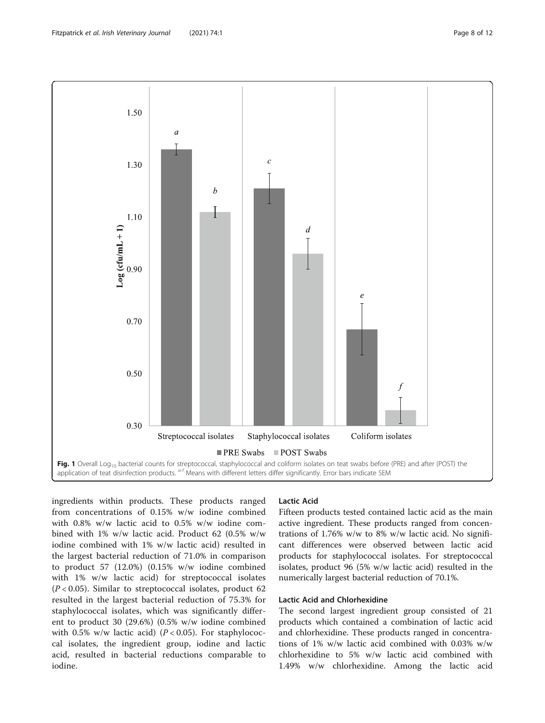<span id="page-7-0"></span>

ingredients within products. These products ranged from concentrations of 0.15% w/w iodine combined with 0.8% w/w lactic acid to 0.5% w/w iodine combined with 1% w/w lactic acid. Product 62 (0.5% w/w iodine combined with 1% w/w lactic acid) resulted in the largest bacterial reduction of 71.0% in comparison to product 57 (12.0%) (0.15% w/w iodine combined with 1% w/w lactic acid) for streptococcal isolates  $(P < 0.05)$ . Similar to streptococcal isolates, product 62 resulted in the largest bacterial reduction of 75.3% for staphylococcal isolates, which was significantly different to product 30 (29.6%) (0.5% w/w iodine combined with 0.5% w/w lactic acid) ( $P < 0.05$ ). For staphylococcal isolates, the ingredient group, iodine and lactic acid, resulted in bacterial reductions comparable to iodine.

## Lactic Acid

Fifteen products tested contained lactic acid as the main active ingredient. These products ranged from concentrations of 1.76% w/w to 8% w/w lactic acid. No significant differences were observed between lactic acid products for staphylococcal isolates. For streptococcal isolates, product 96 (5% w/w lactic acid) resulted in the numerically largest bacterial reduction of 70.1%.

## Lactic Acid and Chlorhexidine

The second largest ingredient group consisted of 21 products which contained a combination of lactic acid and chlorhexidine. These products ranged in concentrations of 1% w/w lactic acid combined with 0.03% w/w chlorhexidine to 5% w/w lactic acid combined with 1.49% w/w chlorhexidine. Among the lactic acid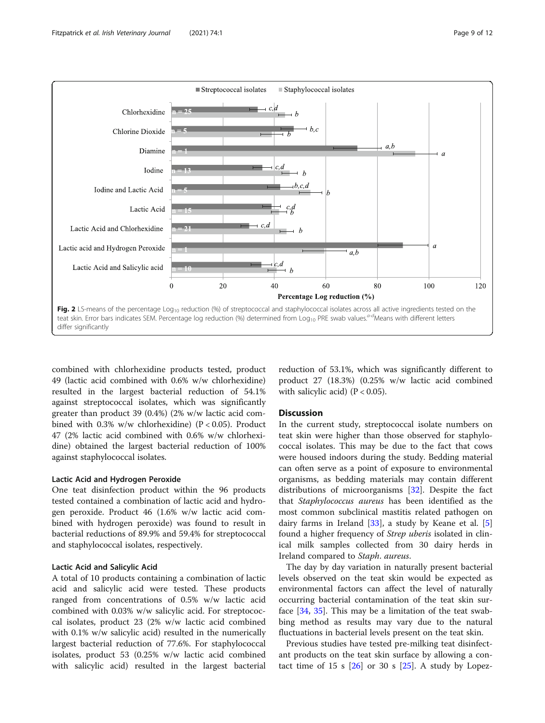<span id="page-8-0"></span>

combined with chlorhexidine products tested, product 49 (lactic acid combined with 0.6% w/w chlorhexidine) resulted in the largest bacterial reduction of 54.1% against streptococcal isolates, which was significantly greater than product 39 (0.4%) (2% w/w lactic acid combined with  $0.3\%$  w/w chlorhexidine) (P < 0.05). Product 47 (2% lactic acid combined with 0.6% w/w chlorhexidine) obtained the largest bacterial reduction of 100% against staphylococcal isolates.

## Lactic Acid and Hydrogen Peroxide

One teat disinfection product within the 96 products tested contained a combination of lactic acid and hydrogen peroxide. Product 46 (1.6% w/w lactic acid combined with hydrogen peroxide) was found to result in bacterial reductions of 89.9% and 59.4% for streptococcal and staphylococcal isolates, respectively.

## Lactic Acid and Salicylic Acid

A total of 10 products containing a combination of lactic acid and salicylic acid were tested. These products ranged from concentrations of 0.5% w/w lactic acid combined with 0.03% w/w salicylic acid. For streptococcal isolates, product 23 (2% w/w lactic acid combined with 0.1% w/w salicylic acid) resulted in the numerically largest bacterial reduction of 77.6%. For staphylococcal isolates, product 53 (0.25% w/w lactic acid combined with salicylic acid) resulted in the largest bacterial

reduction of 53.1%, which was significantly different to product 27 (18.3%) (0.25% w/w lactic acid combined with salicylic acid)  $(P < 0.05)$ .

## Discussion

In the current study, streptococcal isolate numbers on teat skin were higher than those observed for staphylococcal isolates. This may be due to the fact that cows were housed indoors during the study. Bedding material can often serve as a point of exposure to environmental organisms, as bedding materials may contain different distributions of microorganisms [[32\]](#page-11-0). Despite the fact that Staphylococcus aureus has been identified as the most common subclinical mastitis related pathogen on dairy farms in Ireland [[33\]](#page-11-0), a study by Keane et al. [\[5](#page-10-0)] found a higher frequency of Strep uberis isolated in clinical milk samples collected from 30 dairy herds in Ireland compared to Staph. aureus.

The day by day variation in naturally present bacterial levels observed on the teat skin would be expected as environmental factors can affect the level of naturally occurring bacterial contamination of the teat skin surface [[34](#page-11-0), [35\]](#page-11-0). This may be a limitation of the teat swabbing method as results may vary due to the natural fluctuations in bacterial levels present on the teat skin.

Previous studies have tested pre-milking teat disinfectant products on the teat skin surface by allowing a contact time of 15 s  $[26]$  $[26]$  or 30 s  $[25]$  $[25]$ . A study by Lopez-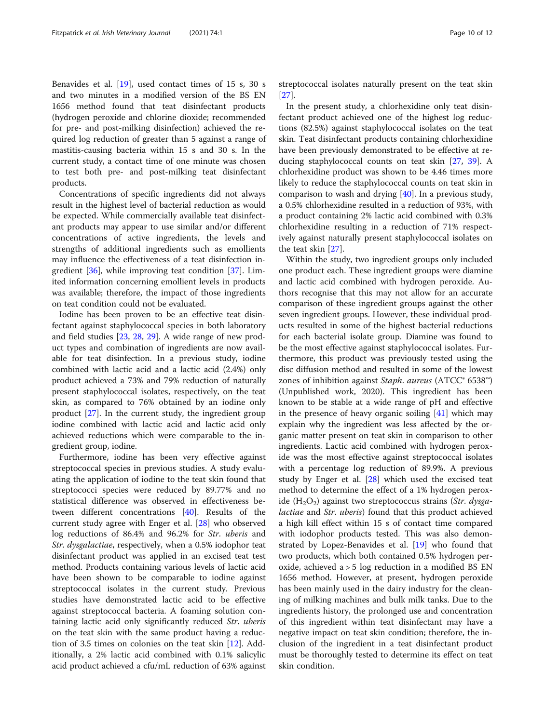Benavides et al. [[19\]](#page-11-0), used contact times of 15 s, 30 s and two minutes in a modified version of the BS EN 1656 method found that teat disinfectant products (hydrogen peroxide and chlorine dioxide; recommended for pre- and post-milking disinfection) achieved the required log reduction of greater than 5 against a range of mastitis-causing bacteria within 15 s and 30 s. In the current study, a contact time of one minute was chosen to test both pre- and post-milking teat disinfectant products.

Concentrations of specific ingredients did not always result in the highest level of bacterial reduction as would be expected. While commercially available teat disinfectant products may appear to use similar and/or different concentrations of active ingredients, the levels and strengths of additional ingredients such as emollients may influence the effectiveness of a teat disinfection ingredient [\[36\]](#page-11-0), while improving teat condition [[37\]](#page-11-0). Limited information concerning emollient levels in products was available; therefore, the impact of those ingredients on teat condition could not be evaluated.

Iodine has been proven to be an effective teat disinfectant against staphylococcal species in both laboratory and field studies [\[23,](#page-11-0) [28](#page-11-0), [29](#page-11-0)]. A wide range of new product types and combination of ingredients are now available for teat disinfection. In a previous study, iodine combined with lactic acid and a lactic acid (2.4%) only product achieved a 73% and 79% reduction of naturally present staphylococcal isolates, respectively, on the teat skin, as compared to 76% obtained by an iodine only product [[27](#page-11-0)]. In the current study, the ingredient group iodine combined with lactic acid and lactic acid only achieved reductions which were comparable to the ingredient group, iodine.

Furthermore, iodine has been very effective against streptococcal species in previous studies. A study evaluating the application of iodine to the teat skin found that streptococci species were reduced by 89.77% and no statistical difference was observed in effectiveness between different concentrations [\[40](#page-11-0)]. Results of the current study agree with Enger et al. [[28\]](#page-11-0) who observed log reductions of 86.4% and 96.2% for Str. uberis and Str. dysgalactiae, respectively, when a 0.5% iodophor teat disinfectant product was applied in an excised teat test method. Products containing various levels of lactic acid have been shown to be comparable to iodine against streptococcal isolates in the current study. Previous studies have demonstrated lactic acid to be effective against streptococcal bacteria. A foaming solution containing lactic acid only significantly reduced Str. uberis on the teat skin with the same product having a reduction of 3.5 times on colonies on the teat skin [\[12\]](#page-10-0). Additionally, a 2% lactic acid combined with 0.1% salicylic acid product achieved a cfu/mL reduction of 63% against streptococcal isolates naturally present on the teat skin [[27\]](#page-11-0).

In the present study, a chlorhexidine only teat disinfectant product achieved one of the highest log reductions (82.5%) against staphylococcal isolates on the teat skin. Teat disinfectant products containing chlorhexidine have been previously demonstrated to be effective at reducing staphylococcal counts on teat skin [\[27](#page-11-0), [39](#page-11-0)]. A chlorhexidine product was shown to be 4.46 times more likely to reduce the staphylococcal counts on teat skin in comparison to wash and drying [\[40\]](#page-11-0). In a previous study, a 0.5% chlorhexidine resulted in a reduction of 93%, with a product containing 2% lactic acid combined with 0.3% chlorhexidine resulting in a reduction of 71% respectively against naturally present staphylococcal isolates on the teat skin [\[27](#page-11-0)].

Within the study, two ingredient groups only included one product each. These ingredient groups were diamine and lactic acid combined with hydrogen peroxide. Authors recognise that this may not allow for an accurate comparison of these ingredient groups against the other seven ingredient groups. However, these individual products resulted in some of the highest bacterial reductions for each bacterial isolate group. Diamine was found to be the most effective against staphylococcal isolates. Furthermore, this product was previously tested using the disc diffusion method and resulted in some of the lowest zones of inhibition against *Staph. aureus* (ATCC<sup>®</sup> 6538<sup>™</sup>) (Unpublished work, 2020). This ingredient has been known to be stable at a wide range of pH and effective in the presence of heavy organic soiling [\[41\]](#page-11-0) which may explain why the ingredient was less affected by the organic matter present on teat skin in comparison to other ingredients. Lactic acid combined with hydrogen peroxide was the most effective against streptococcal isolates with a percentage log reduction of 89.9%. A previous study by Enger et al. [\[28](#page-11-0)] which used the excised teat method to determine the effect of a 1% hydrogen peroxide  $(H_2O_2)$  against two streptococcus strains (Str. dysgalactiae and Str. uberis) found that this product achieved a high kill effect within 15 s of contact time compared with iodophor products tested. This was also demonstrated by Lopez-Benavides et al. [\[19\]](#page-11-0) who found that two products, which both contained 0.5% hydrogen peroxide, achieved a > 5 log reduction in a modified BS EN 1656 method. However, at present, hydrogen peroxide has been mainly used in the dairy industry for the cleaning of milking machines and bulk milk tanks. Due to the ingredients history, the prolonged use and concentration of this ingredient within teat disinfectant may have a negative impact on teat skin condition; therefore, the inclusion of the ingredient in a teat disinfectant product must be thoroughly tested to determine its effect on teat skin condition.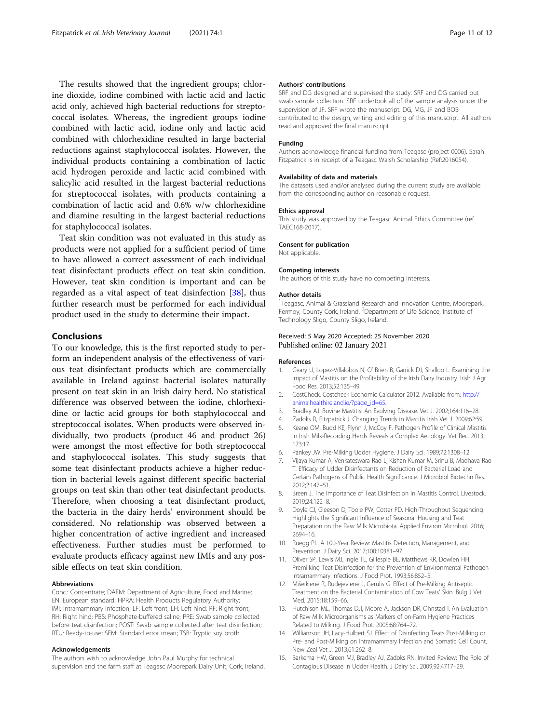<span id="page-10-0"></span>The results showed that the ingredient groups; chlorine dioxide, iodine combined with lactic acid and lactic acid only, achieved high bacterial reductions for streptococcal isolates. Whereas, the ingredient groups iodine combined with lactic acid, iodine only and lactic acid combined with chlorhexidine resulted in large bacterial reductions against staphylococcal isolates. However, the individual products containing a combination of lactic acid hydrogen peroxide and lactic acid combined with salicylic acid resulted in the largest bacterial reductions for streptococcal isolates, with products containing a combination of lactic acid and 0.6% w/w chlorhexidine and diamine resulting in the largest bacterial reductions for staphylococcal isolates.

Teat skin condition was not evaluated in this study as products were not applied for a sufficient period of time to have allowed a correct assessment of each individual teat disinfectant products effect on teat skin condition. However, teat skin condition is important and can be regarded as a vital aspect of teat disinfection [[38\]](#page-11-0), thus further research must be performed for each individual product used in the study to determine their impact.

## Conclusions

To our knowledge, this is the first reported study to perform an independent analysis of the effectiveness of various teat disinfectant products which are commercially available in Ireland against bacterial isolates naturally present on teat skin in an Irish dairy herd. No statistical difference was observed between the iodine, chlorhexidine or lactic acid groups for both staphylococcal and streptococcal isolates. When products were observed individually, two products (product 46 and product 26) were amongst the most effective for both streptococcal and staphylococcal isolates. This study suggests that some teat disinfectant products achieve a higher reduction in bacterial levels against different specific bacterial groups on teat skin than other teat disinfectant products. Therefore, when choosing a teat disinfectant product, the bacteria in the dairy herds' environment should be considered. No relationship was observed between a higher concentration of active ingredient and increased effectiveness. Further studies must be performed to evaluate products efficacy against new IMIs and any possible effects on teat skin condition.

#### Abbreviations

Conc.: Concentrate; DAFM: Department of Agriculture, Food and Marine; EN: European standard; HPRA: Health Products Regulatory Authority; IMI: Intramammary infection; LF: Left front; LH: Left hind; RF: Right front; RH: Right hind; PBS: Phosphate-buffered saline; PRE: Swab sample collected before teat disinfection; POST: Swab sample collected after teat disinfection; RTU: Ready-to-use; SEM: Standard error mean; TSB: Tryptic soy broth

#### Acknowledgements

The authors wish to acknowledge John Paul Murphy for technical supervision and the farm staff at Teagasc Moorepark Dairy Unit, Cork, Ireland.

#### Authors' contributions

SRF and DG designed and supervised the study. SRF and DG carried out swab sample collection. SRF undertook all of the sample analysis under the supervision of JF. SRF wrote the manuscript. DG, MG, JF and BOB contributed to the design, writing and editing of this manuscript. All authors read and approved the final manuscript.

#### Funding

Authors acknowledge financial funding from Teagasc (project 0006). Sarah Fitzpatrick is in receipt of a Teagasc Walsh Scholarship (Ref:2016054).

#### Availability of data and materials

The datasets used and/or analysed during the current study are available from the corresponding author on reasonable request.

#### Ethics approval

This study was approved by the Teagasc Animal Ethics Committee (ref. TAEC168-2017).

#### Consent for publication

Not applicable.

#### Competing interests

The authors of this study have no competing interests.

#### Author details

<sup>1</sup>Teagasc, Animal & Grassland Research and Innovation Centre, Moorepark Fermoy, County Cork, Ireland. <sup>2</sup>Department of Life Science, Institute of Technology Sligo, County Sligo, Ireland.

#### Received: 5 May 2020 Accepted: 25 November 2020 Published online: 02 January 2021

### References

- 1. Geary U, Lopez-Villalobos N, O' Brien B, Garrick DJ, Shalloo L. Examining the Impact of Mastitis on the Profitability of the Irish Dairy Industry. Irish J Agr Food Res. 2013;52:135–49.
- 2. CostCheck. Costcheck Economic Calculator 2012. Available from: [http://](http://animalhealthireland.ie/?page_id=65) [animalhealthireland.ie/?page\\_id=65](http://animalhealthireland.ie/?page_id=65).
- 3. Bradley AJ. Bovine Mastitis: An Evolving Disease. Vet J. 2002;164:116–28.
- Zadoks R, Fitzpatrick J. Changing Trends in Mastitis Irish Vet J. 2009;62:59.
- 5. Keane OM, Budd KE, Flynn J, McCoy F. Pathogen Profile of Clinical Mastitis in Irish Milk-Recording Herds Reveals a Complex Aetiology. Vet Rec. 2013; 173:17.
- 6. Pankey JW. Pre-Milking Udder Hygiene. J Dairy Sci. 1989;72:1308–12.
- 7. Vijaya Kumar A, Venkateswara Rao L, Kishan Kumar M, Srinu B, Madhava Rao T. Efficacy of Udder Disinfectants on Reduction of Bacterial Load and Certain Pathogens of Public Health Significance. J Microbiol Biotechn Res. 2012;2:147–51.
- 8. Breen J. The Importance of Teat Disinfection in Mastitis Control. Livestock. 2019;24:122–8.
- 9. Doyle CJ, Gleeson D, Toole PW, Cotter PD. High-Throughput Sequencing Highlights the Significant Influence of Seasonal Housing and Teat Preparation on the Raw Milk Microbiota. Applied Environ Microbiol. 2016; 2694–16.
- 10. Ruegg PL. A 100-Year Review: Mastitis Detection, Management, and Prevention. J Dairy Sci. 2017;100:10381–97.
- 11. Oliver SP, Lewis MJ, Ingle TL, Gillespie BE, Matthews KR, Dowlen HH. Premilking Teat Disinfection for the Prevention of Environmental Pathogen Intramammary Infections. J Food Prot. 1993;56:852–5.
- 12. Mišeikienė R, Rudejevienė J, Gerulis G. Effect of Pre-Milking Antiseptic Treatment on the Bacterial Contamination of Cow Teats' Skin. Bulg J Vet Med. 2015;18:159–66.
- 13. Hutchison ML, Thomas DJI, Moore A, Jackson DR, Ohnstad I. An Evaluation of Raw Milk Microorganisms as Markers of on-Farm Hygiene Practices Related to Milking. J Food Prot. 2005;68:764–72.
- 14. Williamson JH, Lacy-Hulbert SJ. Effect of Disinfecting Teats Post-Milking or Pre- and Post-Milking on Intramammary Infection and Somatic Cell Count. New Zeal Vet J. 2013;61:262–8.
- 15. Barkema HW, Green MJ, Bradley AJ, Zadoks RN. Invited Review: The Role of Contagious Disease in Udder Health. J Dairy Sci. 2009;92:4717–29.